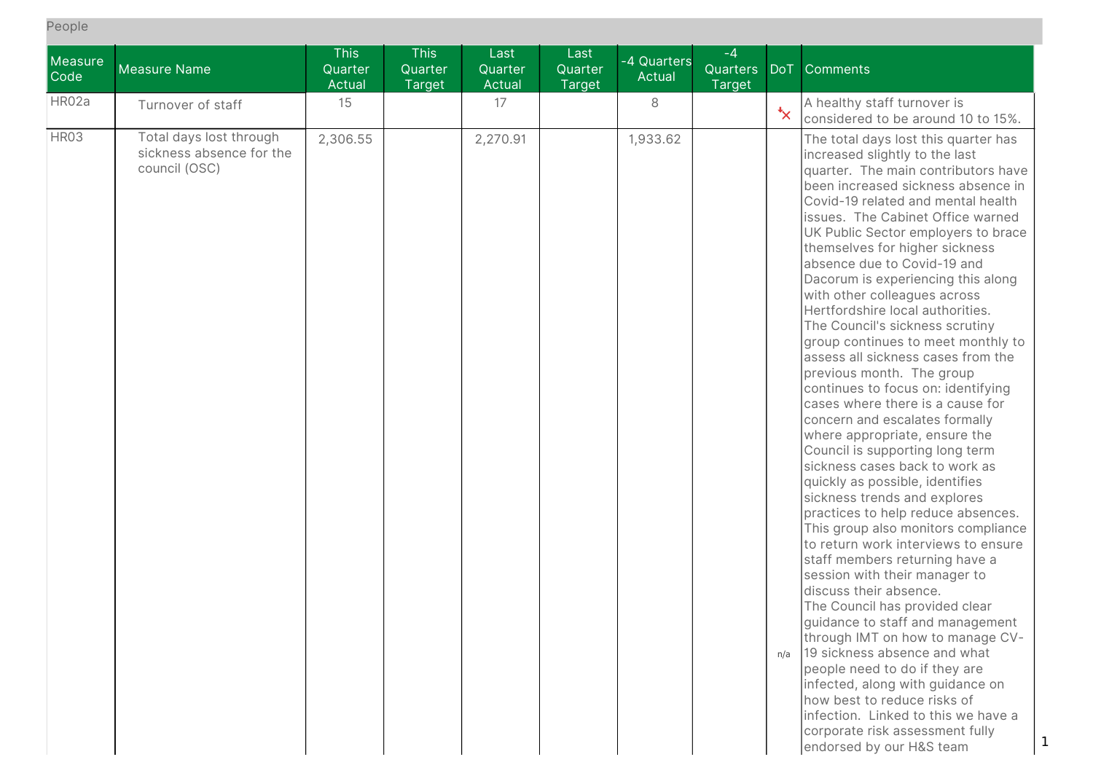People

| Measure<br>Code | <b>Measure Name</b>                                                  | <b>This</b><br>Quarter<br>Actual | <b>This</b><br>Quarter<br><b>Target</b> | Last<br>Quarter<br>Actual | Last<br>Quarter<br><b>Target</b> | -4 Quarters<br>Actual | $-4$<br>Quarters<br><b>Target</b> | <b>DoT</b>              | Comments                                                                                                                                                                                                                                                                                                                                                                                                                                                                                                                                                                                                                                                                                                                                                                                                                                                                                                                                                                                                                                                                                                                                                                                                                                                                                                                                                                                                                                               |
|-----------------|----------------------------------------------------------------------|----------------------------------|-----------------------------------------|---------------------------|----------------------------------|-----------------------|-----------------------------------|-------------------------|--------------------------------------------------------------------------------------------------------------------------------------------------------------------------------------------------------------------------------------------------------------------------------------------------------------------------------------------------------------------------------------------------------------------------------------------------------------------------------------------------------------------------------------------------------------------------------------------------------------------------------------------------------------------------------------------------------------------------------------------------------------------------------------------------------------------------------------------------------------------------------------------------------------------------------------------------------------------------------------------------------------------------------------------------------------------------------------------------------------------------------------------------------------------------------------------------------------------------------------------------------------------------------------------------------------------------------------------------------------------------------------------------------------------------------------------------------|
| HR02a           | Turnover of staff                                                    | 15                               |                                         | 17                        |                                  | 8                     |                                   | $\overline{\mathbf{x}}$ | A healthy staff turnover is<br>considered to be around 10 to 15%.                                                                                                                                                                                                                                                                                                                                                                                                                                                                                                                                                                                                                                                                                                                                                                                                                                                                                                                                                                                                                                                                                                                                                                                                                                                                                                                                                                                      |
| HR03            | Total days lost through<br>sickness absence for the<br>council (OSC) | 2,306.55                         |                                         | 2,270.91                  |                                  | 1,933.62              |                                   | n/a                     | The total days lost this quarter has<br>increased slightly to the last<br>quarter. The main contributors have<br>been increased sickness absence in<br>Covid-19 related and mental health<br>issues. The Cabinet Office warned<br>UK Public Sector employers to brace<br>themselves for higher sickness<br>absence due to Covid-19 and<br>Dacorum is experiencing this along<br>with other colleagues across<br>Hertfordshire local authorities.<br>The Council's sickness scrutiny<br>group continues to meet monthly to<br>assess all sickness cases from the<br>previous month. The group<br>continues to focus on: identifying<br>cases where there is a cause for<br>concern and escalates formally<br>where appropriate, ensure the<br>Council is supporting long term<br>sickness cases back to work as<br>quickly as possible, identifies<br>sickness trends and explores<br>practices to help reduce absences.<br>This group also monitors compliance<br>to return work interviews to ensure<br>staff members returning have a<br>session with their manager to<br>discuss their absence.<br>The Council has provided clear<br>guidance to staff and management<br>through IMT on how to manage CV-<br>19 sickness absence and what<br>people need to do if they are<br>infected, along with guidance on<br>how best to reduce risks of<br>infection. Linked to this we have a<br>corporate risk assessment fully<br>endorsed by our H&S team |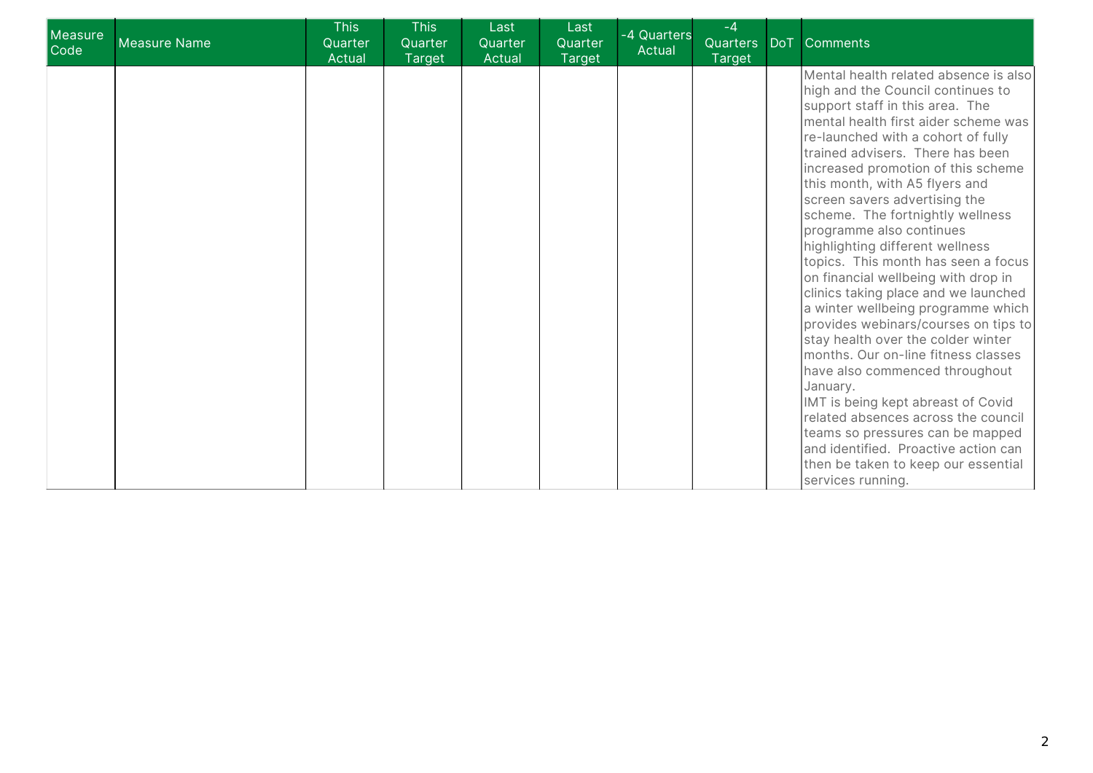| Measure<br>Code | Measure Name | <b>This</b><br>Quarter<br>Actual | <b>This</b><br>Quarter<br><b>Target</b> | Last<br>Quarter<br>Actual | Last<br>Quarter<br><b>Target</b> | -4 Quarters<br>Actual | $-4$<br>Quarters DoT<br>Target | <b>Comments</b>                                                                                                                                                                                                                                                                                                                                                                                                                                                                                                                                                                                                                                                                                                                                                                                                                                                                                                                                                                                 |
|-----------------|--------------|----------------------------------|-----------------------------------------|---------------------------|----------------------------------|-----------------------|--------------------------------|-------------------------------------------------------------------------------------------------------------------------------------------------------------------------------------------------------------------------------------------------------------------------------------------------------------------------------------------------------------------------------------------------------------------------------------------------------------------------------------------------------------------------------------------------------------------------------------------------------------------------------------------------------------------------------------------------------------------------------------------------------------------------------------------------------------------------------------------------------------------------------------------------------------------------------------------------------------------------------------------------|
|                 |              |                                  |                                         |                           |                                  |                       |                                | Mental health related absence is also<br>high and the Council continues to<br>support staff in this area. The<br>mental health first aider scheme was<br>re-launched with a cohort of fully<br>trained advisers. There has been<br>increased promotion of this scheme<br>this month, with A5 flyers and<br>screen savers advertising the<br>scheme. The fortnightly wellness<br>programme also continues<br>highlighting different wellness<br>topics. This month has seen a focus<br>on financial wellbeing with drop in<br>clinics taking place and we launched<br>a winter wellbeing programme which<br>provides webinars/courses on tips to<br>stay health over the colder winter<br>months. Our on-line fitness classes<br>have also commenced throughout<br>January.<br>IMT is being kept abreast of Covid<br>related absences across the council<br>teams so pressures can be mapped<br>and identified. Proactive action can<br>then be taken to keep our essential<br>services running. |